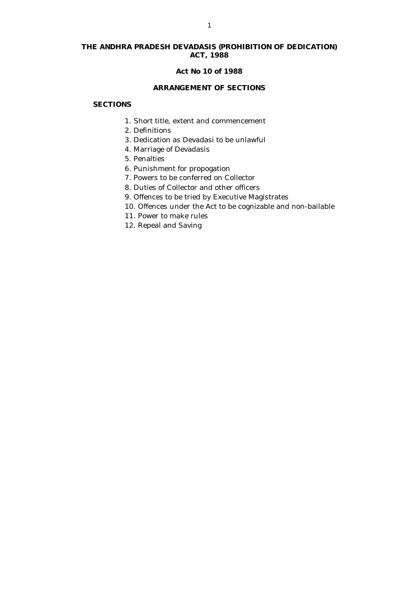# **THE ANDHRA PRADESH DEVADASIS (PROHIBITION OF DEDICATION) ACT, 1988**

#### **Act No 10 of 1988**

## **ARRANGEMENT OF SECTIONS**

## **SECTIONS**

- 1. Short title, extent and commencement
- 2. Definitions
- 3. Dedication as Devadasi to be unlawful
- 4. Marriage of Devadasis
- 5. Penalties
- 6. Punishment for propogation
- 7. Powers to be conferred on Collector
- 8. Duties of Collector and other officers
- 9. Offences to be tried by Executive Magistrates
- 10. Offences under the Act to be cognizable and non-bailable
- 11. Power to make rules
- 12. Repeal and Saving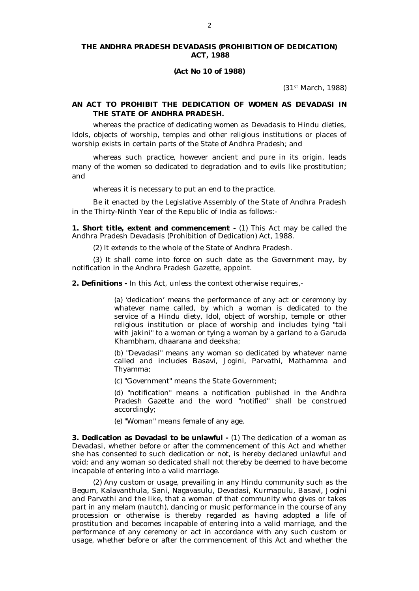#### **THE ANDHRA PRADESH DEVADASIS (PROHIBITION OF DEDICATION) ACT, 1988**

#### **(Act No 10 of 1988)**

(31st March, 1988)

## **AN ACT TO PROHIBIT THE DEDICATION OF WOMEN AS DEVADASI IN THE STATE OF ANDHRA PRADESH.**

whereas the practice of dedicating women as Devadasis to Hindu dieties, Idols, objects of worship, temples and other religious institutions or places of worship exists in certain parts of the State of Andhra Pradesh; and

whereas such practice, however ancient and pure in its origin, leads many of the women so dedicated to degradation and to evils like prostitution; and

whereas it is necessary to put an end to the practice.

Be it enacted by the Legislative Assembly of the State of Andhra Pradesh in the Thirty-Ninth Year of the Republic of India as follows:-

**1. Short title, extent and commencement -** (1) This Act may be called the Andhra Pradesh Devadasis (Prohibition of Dedication) Act, 1988.

(2) It extends to the whole of the State of Andhra Pradesh.

(3) It shall come into force on such date as the Government may, by notification in the Andhra Pradesh Gazette, appoint.

**2. Definitions -** In this Act, unless the context otherwise requires,-

(a) 'dedication' means the performance of any act or ceremony by whatever name called, by which a woman is dedicated to the service of a Hindu diety, Idol, object of worship, temple or other religious institution or place of worship and includes tying "tali with jakini" to a woman or tying a woman by a garland to a Garuda Khambham, dhaarana and deeksha;

(b) "Devadasi" means any woman so dedicated by whatever name called and includes Basavi, Jogini, Parvathi, Mathamma and Thyamma;

(c) "Government" means the State Government;

(d) "notification" means a notification published in the Andhra Pradesh Gazette and the word "notified" shall be construed accordingly;

(e) "Woman" means female of any age.

**3. Dedication as Devadasi to be unlawful -** (1) The dedication of a woman as Devadasi, whether before or after the commencement of this Act and whether she has consented to such dedication or not, is hereby declared unlawful and void; and any woman so dedicated shall not thereby be deemed to have become incapable of entering into a valid marriage.

(2) Any custom or usage, prevailing in any Hindu community such as the Begum, Kalavanthula, Sani, Nagavasulu, Devadasi, Kurmapulu, Basavi, Jogini and Parvathi and the like, that a woman of that community who gives or takes part in any melam (nautch), dancing or music performance in the course of any procession or otherwise is thereby regarded as having adopted a life of prostitution and becomes incapable of entering into a valid marriage, and the performance of any ceremony or act in accordance with any such custom or usage, whether before or after the commencement of this Act and whether the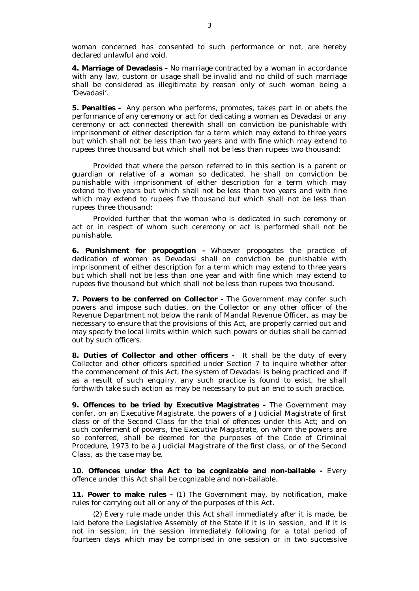woman concerned has consented to such performance or not, are hereby declared unlawful and void.

**4. Marriage of Devadasis -** No marriage contracted by a woman in accordance with any law, custom or usage shall be invalid and no child of such marriage shall be considered as illegitimate by reason only of such woman being a 'Devadasi'.

**5. Penalties -** Any person who performs, promotes, takes part in or abets the performance of any ceremony or act for dedicating a woman as Devadasi or any ceremony or act connected therewith shall on conviction be punishable with imprisonment of either description for a term which may extend to three years but which shall not be less than two years and with fine which may extend to rupees three thousand but which shall not be less than rupees two thousand:

Provided that where the person referred to in this section is a parent or guardian or relative of a woman so dedicated, he shall on conviction be punishable with imprisonment of either description for a term which may extend to five years but which shall not be less than two years and with fine which may extend to rupees five thousand but which shall not be less than rupees three thousand;

Provided further that the woman who is dedicated in such ceremony or act or in respect of whom such ceremony or act is performed shall not be punishable.

**6. Punishment for propogation -** Whoever propogates the practice of dedication of women as Devadasi shall on conviction be punishable with imprisonment of either description for a term which may extend to three years but which shall not be less than one year and with fine which may extend to rupees five thousand but which shall not be less than rupees two thousand.

**7. Powers to be conferred on Collector -** The Government may confer such powers and impose such duties, on the Collector or any other officer of the Revenue Department not below the rank of Mandal Revenue Officer, as may be necessary to ensure that the provisions of this Act, are properly carried out and may specify the local limits within which such powers or duties shall be carried out by such officers.

**8. Duties of Collector and other officers -** It shall be the duty of every Collector and other officers specified under Section 7 to inquire whether after the commencement of this Act, the system of Devadasi is being practiced and if as a result of such enquiry, any such practice is found to exist, he shall forthwith take such action as may be necessary to put an end to such practice.

**9. Offences to be tried by Executive Magistrates -** The Government may confer, on an Executive Magistrate, the powers of a Judicial Magistrate of first class or of the Second Class for the trial of offences under this Act; and on such conferment of powers, the Executive Magistrate, on whom the powers are so conferred, shall be deemed for the purposes of the Code of Criminal Procedure, 1973 to be a Judicial Magistrate of the first class, or of the Second Class, as the case may be.

**10. Offences under the Act to be cognizable and non-bailable -** Every offence under this Act shall be cognizable and non-bailable.

**11. Power to make rules -** (1) The Government may, by notification, make rules for carrying out all or any of the purposes of this Act.

(2) Every rule made under this Act shall immediately after it is made, be laid before the Legislative Assembly of the State if it is in session, and if it is not in session, in the session immediately following for a total period of fourteen days which may be comprised in one session or in two successive